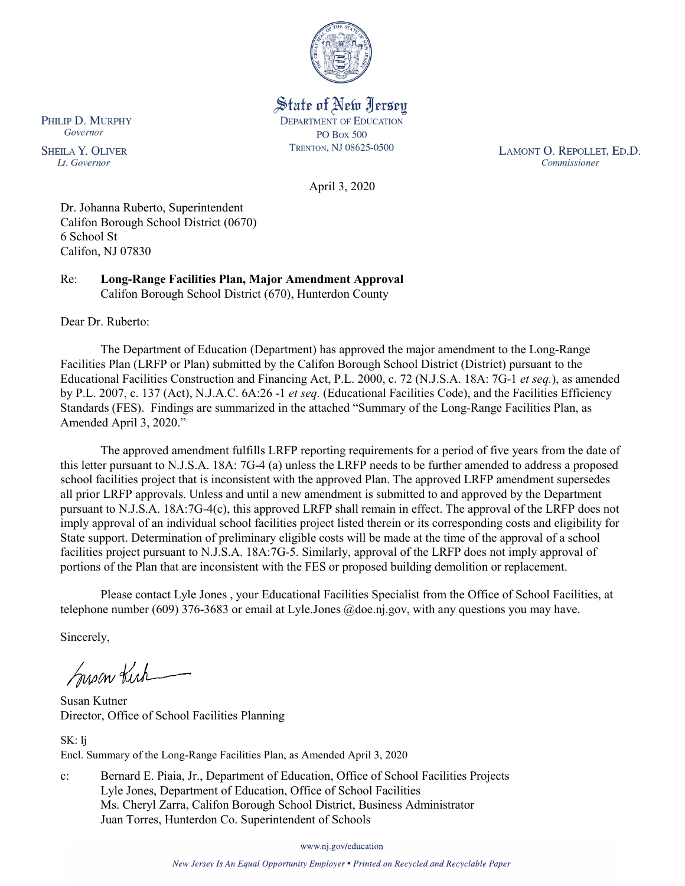

State of New Jersey **DEPARTMENT OF EDUCATION PO Box 500** TRENTON, NJ 08625-0500

LAMONT O. REPOLLET, ED.D. Commissioner

April 3, 2020

Dr. Johanna Ruberto, Superintendent Califon Borough School District (0670) 6 School St Califon, NJ 07830

Re: **Long-Range Facilities Plan, Major Amendment Approval** Califon Borough School District (670), Hunterdon County

Dear Dr. Ruberto:

PHILIP D. MURPHY Governor

**SHEILA Y. OLIVER** 

Lt. Governor

The Department of Education (Department) has approved the major amendment to the Long-Range Facilities Plan (LRFP or Plan) submitted by the Califon Borough School District (District) pursuant to the Educational Facilities Construction and Financing Act, P.L. 2000, c. 72 (N.J.S.A. 18A: 7G-1 *et seq.*), as amended by P.L. 2007, c. 137 (Act), N.J.A.C. 6A:26 -1 *et seq.* (Educational Facilities Code), and the Facilities Efficiency Standards (FES). Findings are summarized in the attached "Summary of the Long-Range Facilities Plan, as Amended April 3, 2020."

The approved amendment fulfills LRFP reporting requirements for a period of five years from the date of this letter pursuant to N.J.S.A. 18A: 7G-4 (a) unless the LRFP needs to be further amended to address a proposed school facilities project that is inconsistent with the approved Plan. The approved LRFP amendment supersedes all prior LRFP approvals. Unless and until a new amendment is submitted to and approved by the Department pursuant to N.J.S.A. 18A:7G-4(c), this approved LRFP shall remain in effect. The approval of the LRFP does not imply approval of an individual school facilities project listed therein or its corresponding costs and eligibility for State support. Determination of preliminary eligible costs will be made at the time of the approval of a school facilities project pursuant to N.J.S.A. 18A:7G-5. Similarly, approval of the LRFP does not imply approval of portions of the Plan that are inconsistent with the FES or proposed building demolition or replacement.

Please contact Lyle Jones , your Educational Facilities Specialist from the Office of School Facilities, at telephone number (609) 376-3683 or email at Lyle.Jones @doe.nj.gov, with any questions you may have.

Sincerely,

Susan Kich

Susan Kutner Director, Office of School Facilities Planning

SK: lj Encl. Summary of the Long-Range Facilities Plan, as Amended April 3, 2020

c: Bernard E. Piaia, Jr., Department of Education, Office of School Facilities Projects Lyle Jones, Department of Education, Office of School Facilities Ms. Cheryl Zarra, Califon Borough School District, Business Administrator Juan Torres, Hunterdon Co. Superintendent of Schools

www.nj.gov/education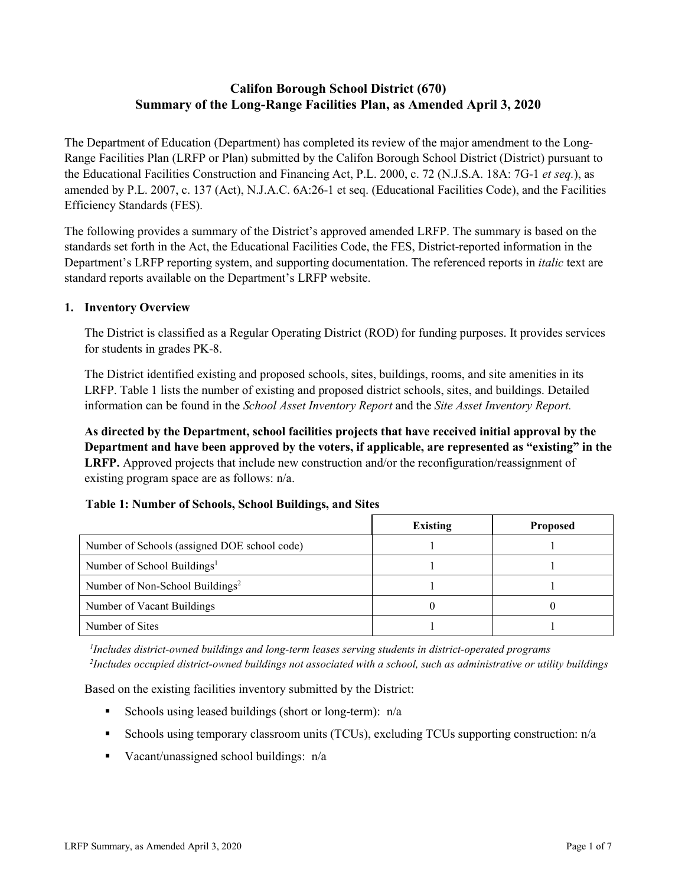# **Califon Borough School District (670) Summary of the Long-Range Facilities Plan, as Amended April 3, 2020**

The Department of Education (Department) has completed its review of the major amendment to the Long-Range Facilities Plan (LRFP or Plan) submitted by the Califon Borough School District (District) pursuant to the Educational Facilities Construction and Financing Act, P.L. 2000, c. 72 (N.J.S.A. 18A: 7G-1 *et seq.*), as amended by P.L. 2007, c. 137 (Act), N.J.A.C. 6A:26-1 et seq. (Educational Facilities Code), and the Facilities Efficiency Standards (FES).

The following provides a summary of the District's approved amended LRFP. The summary is based on the standards set forth in the Act, the Educational Facilities Code, the FES, District-reported information in the Department's LRFP reporting system, and supporting documentation. The referenced reports in *italic* text are standard reports available on the Department's LRFP website.

### **1. Inventory Overview**

The District is classified as a Regular Operating District (ROD) for funding purposes. It provides services for students in grades PK-8.

The District identified existing and proposed schools, sites, buildings, rooms, and site amenities in its LRFP. Table 1 lists the number of existing and proposed district schools, sites, and buildings. Detailed information can be found in the *School Asset Inventory Report* and the *Site Asset Inventory Report.*

**As directed by the Department, school facilities projects that have received initial approval by the Department and have been approved by the voters, if applicable, are represented as "existing" in the LRFP.** Approved projects that include new construction and/or the reconfiguration/reassignment of existing program space are as follows: n/a.

# **Table 1: Number of Schools, School Buildings, and Sites**

|                                              | Existing | <b>Proposed</b> |
|----------------------------------------------|----------|-----------------|
| Number of Schools (assigned DOE school code) |          |                 |
| Number of School Buildings <sup>1</sup>      |          |                 |
| Number of Non-School Buildings <sup>2</sup>  |          |                 |
| Number of Vacant Buildings                   |          |                 |
| Number of Sites                              |          |                 |

*1 Includes district-owned buildings and long-term leases serving students in district-operated programs 2 Includes occupied district-owned buildings not associated with a school, such as administrative or utility buildings*

Based on the existing facilities inventory submitted by the District:

- Schools using leased buildings (short or long-term):  $n/a$
- Schools using temporary classroom units (TCUs), excluding TCUs supporting construction: n/a
- Vacant/unassigned school buildings:  $n/a$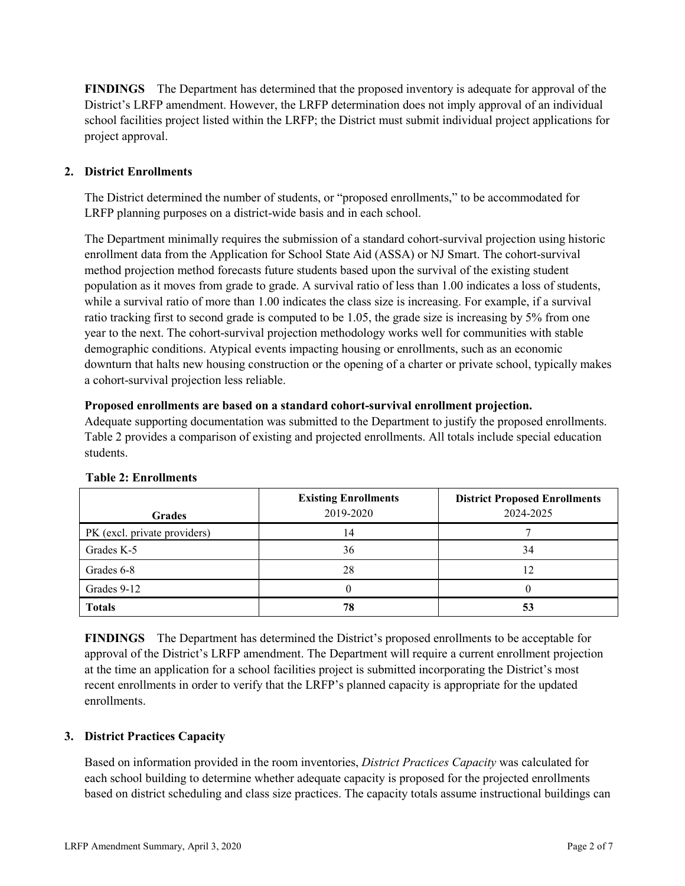**FINDINGS** The Department has determined that the proposed inventory is adequate for approval of the District's LRFP amendment. However, the LRFP determination does not imply approval of an individual school facilities project listed within the LRFP; the District must submit individual project applications for project approval.

# **2. District Enrollments**

The District determined the number of students, or "proposed enrollments," to be accommodated for LRFP planning purposes on a district-wide basis and in each school.

The Department minimally requires the submission of a standard cohort-survival projection using historic enrollment data from the Application for School State Aid (ASSA) or NJ Smart. The cohort-survival method projection method forecasts future students based upon the survival of the existing student population as it moves from grade to grade. A survival ratio of less than 1.00 indicates a loss of students, while a survival ratio of more than 1.00 indicates the class size is increasing. For example, if a survival ratio tracking first to second grade is computed to be 1.05, the grade size is increasing by 5% from one year to the next. The cohort-survival projection methodology works well for communities with stable demographic conditions. Atypical events impacting housing or enrollments, such as an economic downturn that halts new housing construction or the opening of a charter or private school, typically makes a cohort-survival projection less reliable.

### **Proposed enrollments are based on a standard cohort-survival enrollment projection.**

Adequate supporting documentation was submitted to the Department to justify the proposed enrollments. Table 2 provides a comparison of existing and projected enrollments. All totals include special education students.

| <b>Grades</b>                | <b>Existing Enrollments</b><br>2019-2020 | <b>District Proposed Enrollments</b><br>2024-2025 |
|------------------------------|------------------------------------------|---------------------------------------------------|
| PK (excl. private providers) | 14                                       |                                                   |
| Grades K-5                   | 36                                       | 34                                                |
| Grades 6-8                   | 28                                       | 12                                                |
| Grades 9-12                  |                                          |                                                   |
| <b>Totals</b>                | 78                                       | 53                                                |

#### **Table 2: Enrollments**

**FINDINGS** The Department has determined the District's proposed enrollments to be acceptable for approval of the District's LRFP amendment. The Department will require a current enrollment projection at the time an application for a school facilities project is submitted incorporating the District's most recent enrollments in order to verify that the LRFP's planned capacity is appropriate for the updated enrollments.

# **3. District Practices Capacity**

Based on information provided in the room inventories, *District Practices Capacity* was calculated for each school building to determine whether adequate capacity is proposed for the projected enrollments based on district scheduling and class size practices. The capacity totals assume instructional buildings can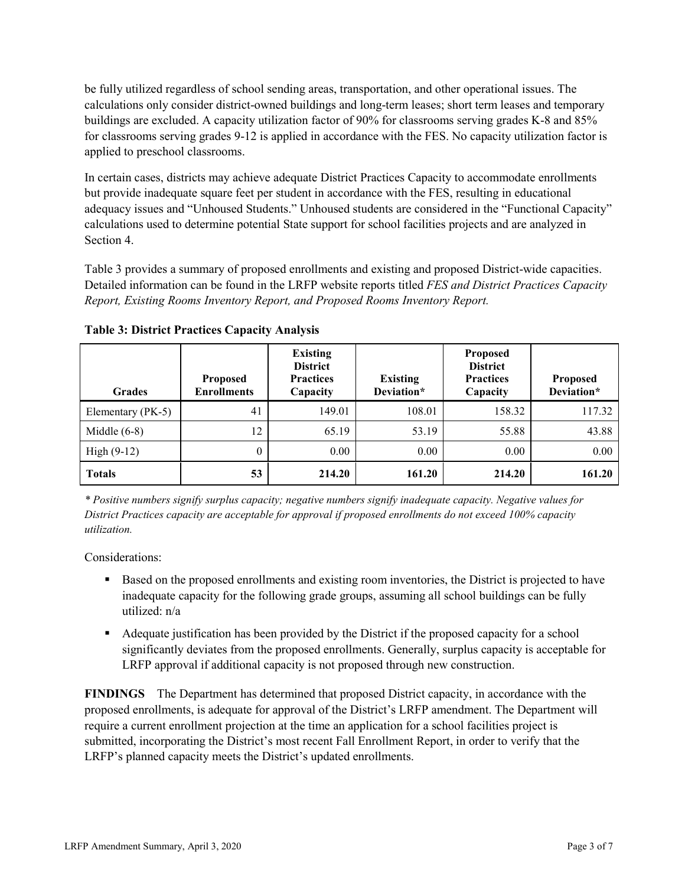be fully utilized regardless of school sending areas, transportation, and other operational issues. The calculations only consider district-owned buildings and long-term leases; short term leases and temporary buildings are excluded. A capacity utilization factor of 90% for classrooms serving grades K-8 and 85% for classrooms serving grades 9-12 is applied in accordance with the FES. No capacity utilization factor is applied to preschool classrooms.

In certain cases, districts may achieve adequate District Practices Capacity to accommodate enrollments but provide inadequate square feet per student in accordance with the FES, resulting in educational adequacy issues and "Unhoused Students." Unhoused students are considered in the "Functional Capacity" calculations used to determine potential State support for school facilities projects and are analyzed in Section 4.

Table 3 provides a summary of proposed enrollments and existing and proposed District-wide capacities. Detailed information can be found in the LRFP website reports titled *FES and District Practices Capacity Report, Existing Rooms Inventory Report, and Proposed Rooms Inventory Report.*

| <b>Grades</b>     | <b>Proposed</b><br><b>Enrollments</b> | <b>Existing</b><br><b>District</b><br><b>Practices</b><br>Capacity | <b>Existing</b><br>Deviation* | <b>Proposed</b><br><b>District</b><br><b>Practices</b><br>Capacity | <b>Proposed</b><br>Deviation* |
|-------------------|---------------------------------------|--------------------------------------------------------------------|-------------------------------|--------------------------------------------------------------------|-------------------------------|
| Elementary (PK-5) | 41                                    | 149.01                                                             | 108.01                        | 158.32                                                             | 117.32                        |
| Middle $(6-8)$    | 12                                    | 65.19                                                              | 53.19                         | 55.88                                                              | 43.88                         |
| High $(9-12)$     | $\theta$                              | 0.00                                                               | 0.00                          | 0.00                                                               | 0.00                          |
| <b>Totals</b>     | 53                                    | 214.20                                                             | 161.20                        | 214.20                                                             | 161.20                        |

**Table 3: District Practices Capacity Analysis**

*\* Positive numbers signify surplus capacity; negative numbers signify inadequate capacity. Negative values for District Practices capacity are acceptable for approval if proposed enrollments do not exceed 100% capacity utilization.*

Considerations:

- **Based on the proposed enrollments and existing room inventories, the District is projected to have** inadequate capacity for the following grade groups, assuming all school buildings can be fully utilized: n/a
- Adequate justification has been provided by the District if the proposed capacity for a school significantly deviates from the proposed enrollments. Generally, surplus capacity is acceptable for LRFP approval if additional capacity is not proposed through new construction.

**FINDINGS**The Department has determined that proposed District capacity, in accordance with the proposed enrollments, is adequate for approval of the District's LRFP amendment. The Department will require a current enrollment projection at the time an application for a school facilities project is submitted, incorporating the District's most recent Fall Enrollment Report, in order to verify that the LRFP's planned capacity meets the District's updated enrollments.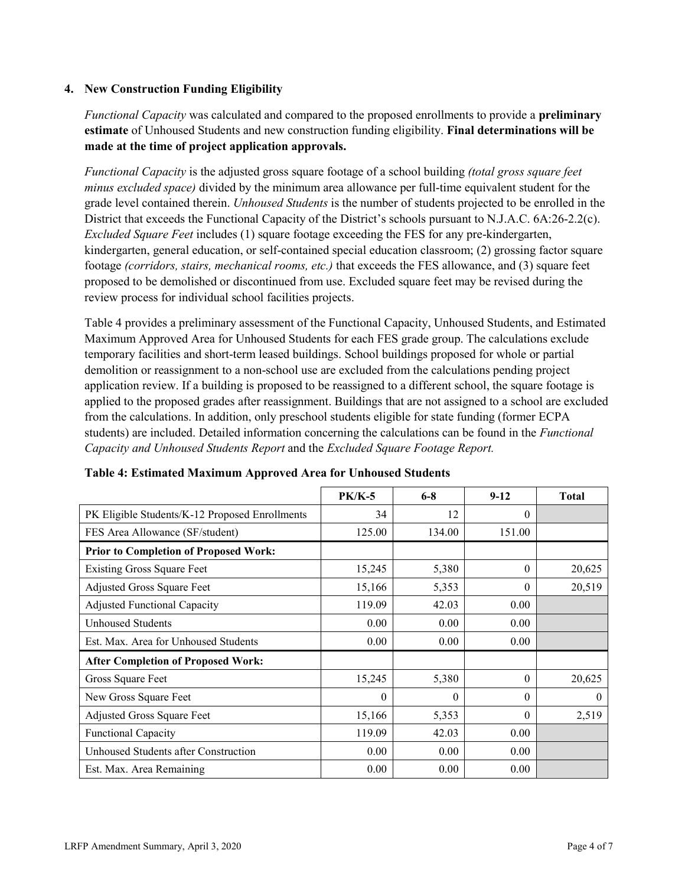### **4. New Construction Funding Eligibility**

*Functional Capacity* was calculated and compared to the proposed enrollments to provide a **preliminary estimate** of Unhoused Students and new construction funding eligibility. **Final determinations will be made at the time of project application approvals.**

*Functional Capacity* is the adjusted gross square footage of a school building *(total gross square feet minus excluded space)* divided by the minimum area allowance per full-time equivalent student for the grade level contained therein. *Unhoused Students* is the number of students projected to be enrolled in the District that exceeds the Functional Capacity of the District's schools pursuant to N.J.A.C. 6A:26-2.2(c). *Excluded Square Feet* includes (1) square footage exceeding the FES for any pre-kindergarten, kindergarten, general education, or self-contained special education classroom; (2) grossing factor square footage *(corridors, stairs, mechanical rooms, etc.)* that exceeds the FES allowance, and (3) square feet proposed to be demolished or discontinued from use. Excluded square feet may be revised during the review process for individual school facilities projects.

Table 4 provides a preliminary assessment of the Functional Capacity, Unhoused Students, and Estimated Maximum Approved Area for Unhoused Students for each FES grade group. The calculations exclude temporary facilities and short-term leased buildings. School buildings proposed for whole or partial demolition or reassignment to a non-school use are excluded from the calculations pending project application review. If a building is proposed to be reassigned to a different school, the square footage is applied to the proposed grades after reassignment. Buildings that are not assigned to a school are excluded from the calculations. In addition, only preschool students eligible for state funding (former ECPA students) are included. Detailed information concerning the calculations can be found in the *Functional Capacity and Unhoused Students Report* and the *Excluded Square Footage Report.*

|                                                | <b>PK/K-5</b> | $6 - 8$  | $9 - 12$ | <b>Total</b> |
|------------------------------------------------|---------------|----------|----------|--------------|
| PK Eligible Students/K-12 Proposed Enrollments | 34            | 12       | $\theta$ |              |
| FES Area Allowance (SF/student)                | 125.00        | 134.00   | 151.00   |              |
| <b>Prior to Completion of Proposed Work:</b>   |               |          |          |              |
| <b>Existing Gross Square Feet</b>              | 15,245        | 5,380    | $\theta$ | 20,625       |
| Adjusted Gross Square Feet                     | 15,166        | 5,353    | $\theta$ | 20,519       |
| <b>Adjusted Functional Capacity</b>            | 119.09        | 42.03    | 0.00     |              |
| <b>Unhoused Students</b>                       | 0.00          | 0.00     | 0.00     |              |
| Est. Max. Area for Unhoused Students           | 0.00          | 0.00     | 0.00     |              |
| <b>After Completion of Proposed Work:</b>      |               |          |          |              |
| Gross Square Feet                              | 15,245        | 5,380    | $\theta$ | 20,625       |
| New Gross Square Feet                          | $\theta$      | $\theta$ | $\Omega$ | $\theta$     |
| Adjusted Gross Square Feet                     | 15,166        | 5,353    | $\Omega$ | 2,519        |
| <b>Functional Capacity</b>                     | 119.09        | 42.03    | 0.00     |              |
| Unhoused Students after Construction           | 0.00          | 0.00     | 0.00     |              |
| Est. Max. Area Remaining                       | 0.00          | 0.00     | 0.00     |              |

**Table 4: Estimated Maximum Approved Area for Unhoused Students**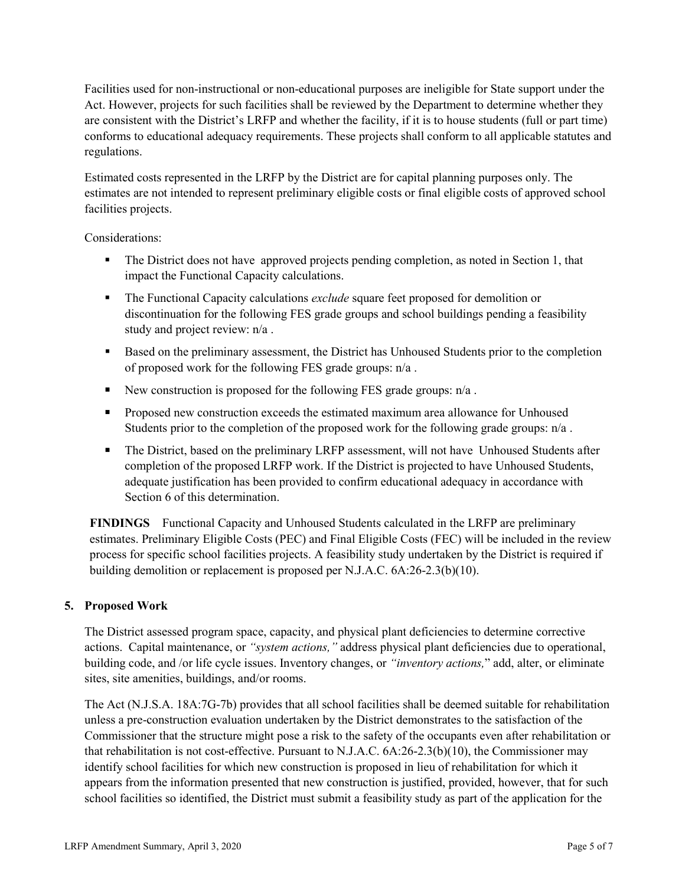Facilities used for non-instructional or non-educational purposes are ineligible for State support under the Act. However, projects for such facilities shall be reviewed by the Department to determine whether they are consistent with the District's LRFP and whether the facility, if it is to house students (full or part time) conforms to educational adequacy requirements. These projects shall conform to all applicable statutes and regulations.

Estimated costs represented in the LRFP by the District are for capital planning purposes only. The estimates are not intended to represent preliminary eligible costs or final eligible costs of approved school facilities projects.

Considerations:

- The District does not have approved projects pending completion, as noted in Section 1, that impact the Functional Capacity calculations.
- The Functional Capacity calculations *exclude* square feet proposed for demolition or discontinuation for the following FES grade groups and school buildings pending a feasibility study and project review: n/a .
- Based on the preliminary assessment, the District has Unhoused Students prior to the completion of proposed work for the following FES grade groups: n/a .
- New construction is proposed for the following FES grade groups:  $n/a$ .
- **Proposed new construction exceeds the estimated maximum area allowance for Unhoused** Students prior to the completion of the proposed work for the following grade groups:  $n/a$ .
- The District, based on the preliminary LRFP assessment, will not have Unhoused Students after completion of the proposed LRFP work. If the District is projected to have Unhoused Students, adequate justification has been provided to confirm educational adequacy in accordance with Section 6 of this determination.

**FINDINGS** Functional Capacity and Unhoused Students calculated in the LRFP are preliminary estimates. Preliminary Eligible Costs (PEC) and Final Eligible Costs (FEC) will be included in the review process for specific school facilities projects. A feasibility study undertaken by the District is required if building demolition or replacement is proposed per N.J.A.C. 6A:26-2.3(b)(10).

# **5. Proposed Work**

The District assessed program space, capacity, and physical plant deficiencies to determine corrective actions. Capital maintenance, or *"system actions,"* address physical plant deficiencies due to operational, building code, and /or life cycle issues. Inventory changes, or *"inventory actions,*" add, alter, or eliminate sites, site amenities, buildings, and/or rooms.

The Act (N.J.S.A. 18A:7G-7b) provides that all school facilities shall be deemed suitable for rehabilitation unless a pre-construction evaluation undertaken by the District demonstrates to the satisfaction of the Commissioner that the structure might pose a risk to the safety of the occupants even after rehabilitation or that rehabilitation is not cost-effective. Pursuant to N.J.A.C. 6A:26-2.3(b)(10), the Commissioner may identify school facilities for which new construction is proposed in lieu of rehabilitation for which it appears from the information presented that new construction is justified, provided, however, that for such school facilities so identified, the District must submit a feasibility study as part of the application for the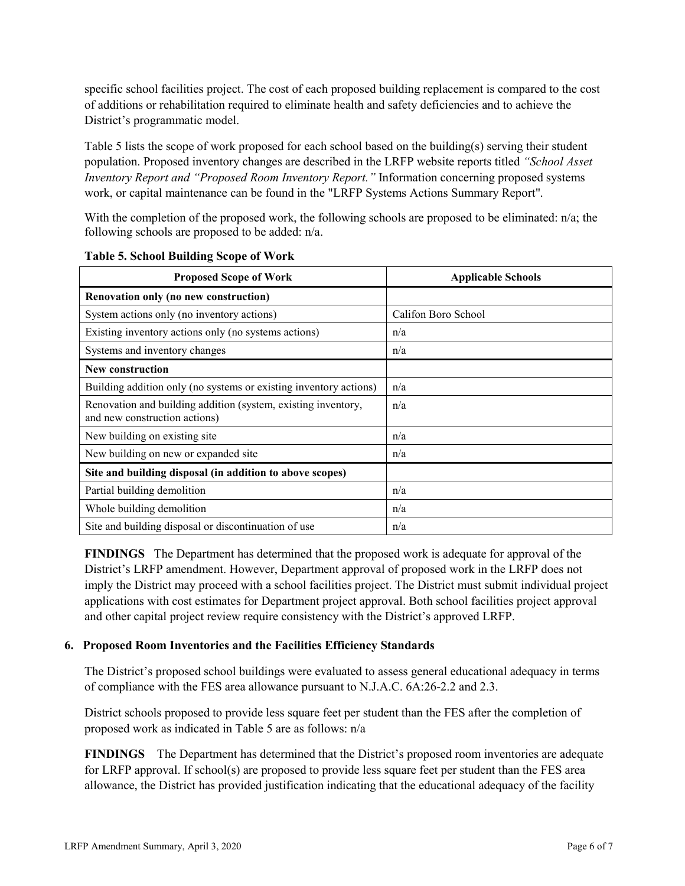specific school facilities project. The cost of each proposed building replacement is compared to the cost of additions or rehabilitation required to eliminate health and safety deficiencies and to achieve the District's programmatic model.

Table 5 lists the scope of work proposed for each school based on the building(s) serving their student population. Proposed inventory changes are described in the LRFP website reports titled *"School Asset Inventory Report and "Proposed Room Inventory Report."* Information concerning proposed systems work, or capital maintenance can be found in the "LRFP Systems Actions Summary Report".

With the completion of the proposed work, the following schools are proposed to be eliminated: n/a; the following schools are proposed to be added: n/a.

| <b>Proposed Scope of Work</b>                                                                  | <b>Applicable Schools</b> |
|------------------------------------------------------------------------------------------------|---------------------------|
| Renovation only (no new construction)                                                          |                           |
| System actions only (no inventory actions)                                                     | Califon Boro School       |
| Existing inventory actions only (no systems actions)                                           | n/a                       |
| Systems and inventory changes                                                                  | n/a                       |
| <b>New construction</b>                                                                        |                           |
| Building addition only (no systems or existing inventory actions)                              | n/a                       |
| Renovation and building addition (system, existing inventory,<br>and new construction actions) | n/a                       |
| New building on existing site                                                                  | n/a                       |
| New building on new or expanded site                                                           | n/a                       |
| Site and building disposal (in addition to above scopes)                                       |                           |
| Partial building demolition                                                                    | n/a                       |
| Whole building demolition                                                                      | n/a                       |
| Site and building disposal or discontinuation of use                                           | n/a                       |

**Table 5. School Building Scope of Work**

**FINDINGS** The Department has determined that the proposed work is adequate for approval of the District's LRFP amendment. However, Department approval of proposed work in the LRFP does not imply the District may proceed with a school facilities project. The District must submit individual project applications with cost estimates for Department project approval. Both school facilities project approval and other capital project review require consistency with the District's approved LRFP.

#### **6. Proposed Room Inventories and the Facilities Efficiency Standards**

The District's proposed school buildings were evaluated to assess general educational adequacy in terms of compliance with the FES area allowance pursuant to N.J.A.C. 6A:26-2.2 and 2.3.

District schools proposed to provide less square feet per student than the FES after the completion of proposed work as indicated in Table 5 are as follows: n/a

**FINDINGS** The Department has determined that the District's proposed room inventories are adequate for LRFP approval. If school(s) are proposed to provide less square feet per student than the FES area allowance, the District has provided justification indicating that the educational adequacy of the facility